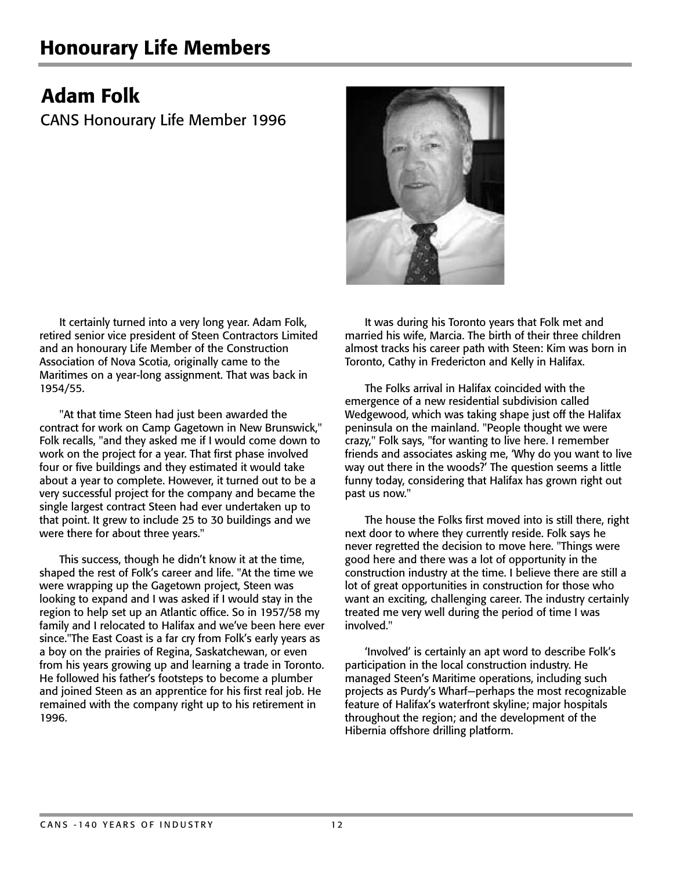## Honourary Life Members

## Adam Folk

CANS Honourary Life Member 1996



It certainly turned into a very long year. Adam Folk, retired senior vice president of Steen Contractors Limited and an honourary Life Member of the Construction Association of Nova Scotia, originally came to the Maritimes on a year-long assignment. That was back in 1954/55.

"At that time Steen had just been awarded the contract for work on Camp Gagetown in New Brunswick," Folk recalls, "and they asked me if I would come down to work on the project for a year. That first phase involved four or five buildings and they estimated it would take about a year to complete. However, it turned out to be a very successful project for the company and became the single largest contract Steen had ever undertaken up to that point. It grew to include 25 to 30 buildings and we were there for about three years."

This success, though he didn't know it at the time, shaped the rest of Folk's career and life. "At the time we were wrapping up the Gagetown project, Steen was looking to expand and I was asked if I would stay in the region to help set up an Atlantic office. So in 1957/58 my family and I relocated to Halifax and we've been here ever since."The East Coast is a far cry from Folk's early years as a boy on the prairies of Regina, Saskatchewan, or even from his years growing up and learning a trade in Toronto. He followed his father's footsteps to become a plumber and joined Steen as an apprentice for his first real job. He remained with the company right up to his retirement in 1996.

It was during his Toronto years that Folk met and married his wife, Marcia. The birth of their three children almost tracks his career path with Steen: Kim was born in Toronto, Cathy in Fredericton and Kelly in Halifax.

The Folks arrival in Halifax coincided with the emergence of a new residential subdivision called Wedgewood, which was taking shape just off the Halifax peninsula on the mainland. "People thought we were crazy," Folk says, "for wanting to live here. I remember friends and associates asking me, 'Why do you want to live way out there in the woods?' The question seems a little funny today, considering that Halifax has grown right out past us now."

The house the Folks first moved into is still there, right next door to where they currently reside. Folk says he never regretted the decision to move here. "Things were good here and there was a lot of opportunity in the construction industry at the time. I believe there are still a lot of great opportunities in construction for those who want an exciting, challenging career. The industry certainly treated me very well during the period of time I was involved."

'Involved' is certainly an apt word to describe Folk's participation in the local construction industry. He managed Steen's Maritime operations, including such projects as Purdy's Wharf—perhaps the most recognizable feature of Halifax's waterfront skyline; major hospitals throughout the region; and the development of the Hibernia offshore drilling platform.